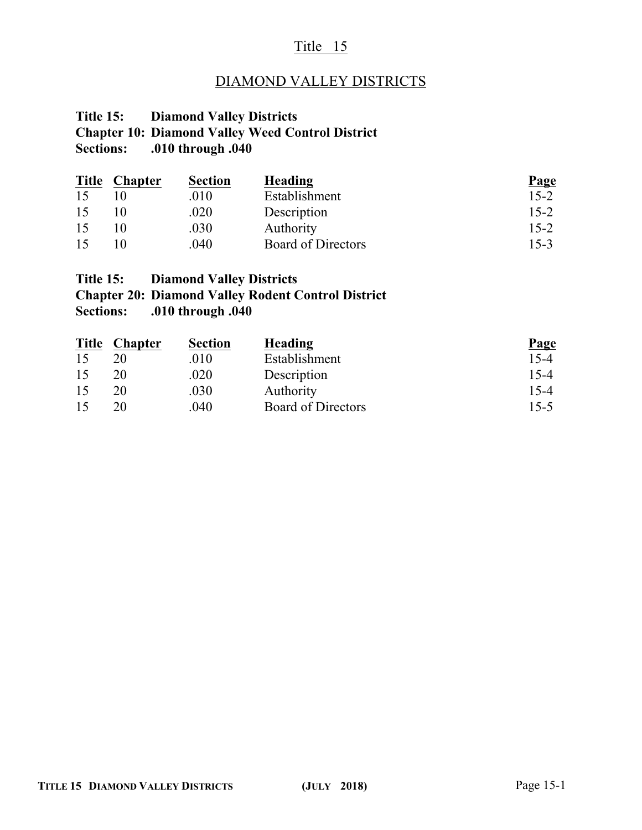## Title 15

## DIAMOND VALLEY DISTRICTS

### **Title 15: Diamond Valley Districts Chapter 10: Diamond Valley Weed Control District Sections: .010 through .040**

| <b>Title</b> | <b>Chapter</b> | <b>Section</b> | Heading                   | <b>Page</b> |
|--------------|----------------|----------------|---------------------------|-------------|
| 15           |                | .010           | Establishment             | $15 - 2$    |
| 15           |                | .020           | Description               | $15 - 2$    |
| 15           |                | .030           | Authority                 | $15 - 2$    |
| 15           |                | .040           | <b>Board of Directors</b> | $15 - 3$    |

# **Title 15: Diamond Valley Districts Chapter 20: Diamond Valley Rodent Control District Sections: .010 through .040**

| <b>Title</b> | <b>Chapter</b> | <b>Section</b> | Heading                   | <b>Page</b> |
|--------------|----------------|----------------|---------------------------|-------------|
| 15           |                | .010           | Establishment             | $15 - 4$    |
| 15           | 20             | .020           | Description               | $15 - 4$    |
| 15           | 20             | .030           | Authority                 | $15 - 4$    |
| 15           | 20             | .040           | <b>Board of Directors</b> | $15 - 5$    |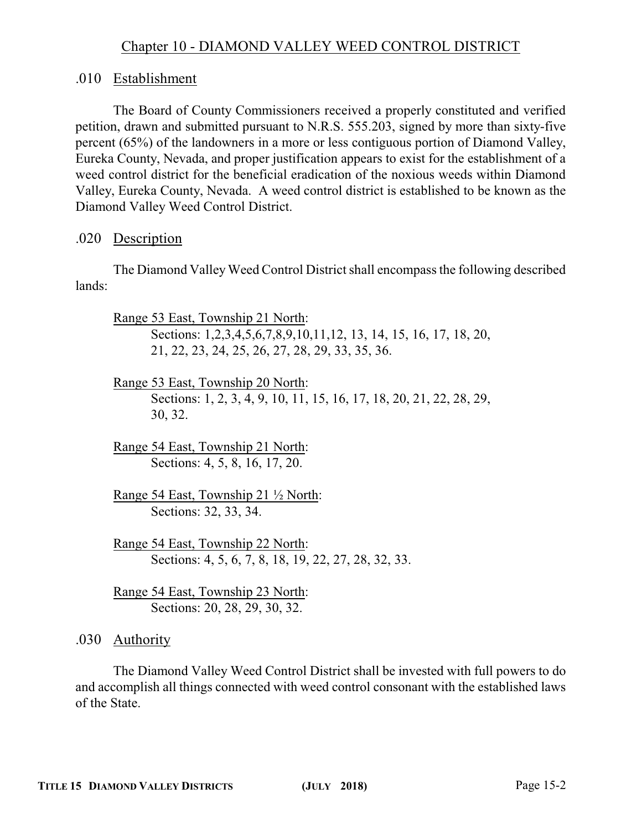## Chapter 10 - DIAMOND VALLEY WEED CONTROL DISTRICT

### .010 Establishment

The Board of County Commissioners received a properly constituted and verified petition, drawn and submitted pursuant to N.R.S. 555.203, signed by more than sixty-five percent (65%) of the landowners in a more or less contiguous portion of Diamond Valley, Eureka County, Nevada, and proper justification appears to exist for the establishment of a weed control district for the beneficial eradication of the noxious weeds within Diamond Valley, Eureka County, Nevada. A weed control district is established to be known as the Diamond Valley Weed Control District.

#### .020 Description

The Diamond Valley Weed Control District shall encompass the following described lands:

Range 53 East, Township 21 North:

Sections: 1,2,3,4,5,6,7,8,9,10,11,12, 13, 14, 15, 16, 17, 18, 20, 21, 22, 23, 24, 25, 26, 27, 28, 29, 33, 35, 36.

Range 53 East, Township 20 North: Sections: 1, 2, 3, 4, 9, 10, 11, 15, 16, 17, 18, 20, 21, 22, 28, 29, 30, 32.

Range 54 East, Township 21 North: Sections: 4, 5, 8, 16, 17, 20.

Range 54 East, Township 21 ½ North: Sections: 32, 33, 34.

Range 54 East, Township 22 North: Sections: 4, 5, 6, 7, 8, 18, 19, 22, 27, 28, 32, 33.

Range 54 East, Township 23 North: Sections: 20, 28, 29, 30, 32.

.030 Authority

The Diamond Valley Weed Control District shall be invested with full powers to do and accomplish all things connected with weed control consonant with the established laws of the State.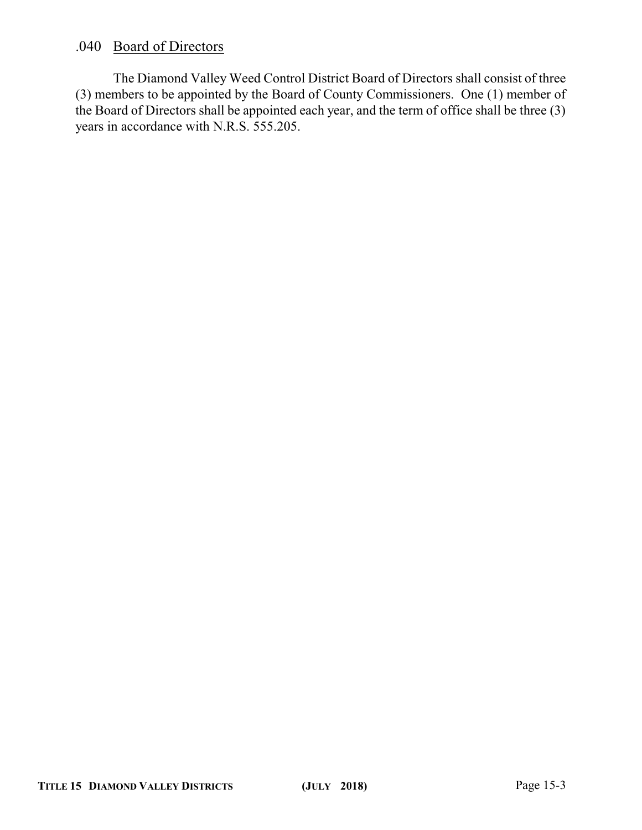### .040 Board of Directors

The Diamond Valley Weed Control District Board of Directors shall consist of three (3) members to be appointed by the Board of County Commissioners. One (1) member of the Board of Directors shall be appointed each year, and the term of office shall be three (3) years in accordance with N.R.S. 555.205.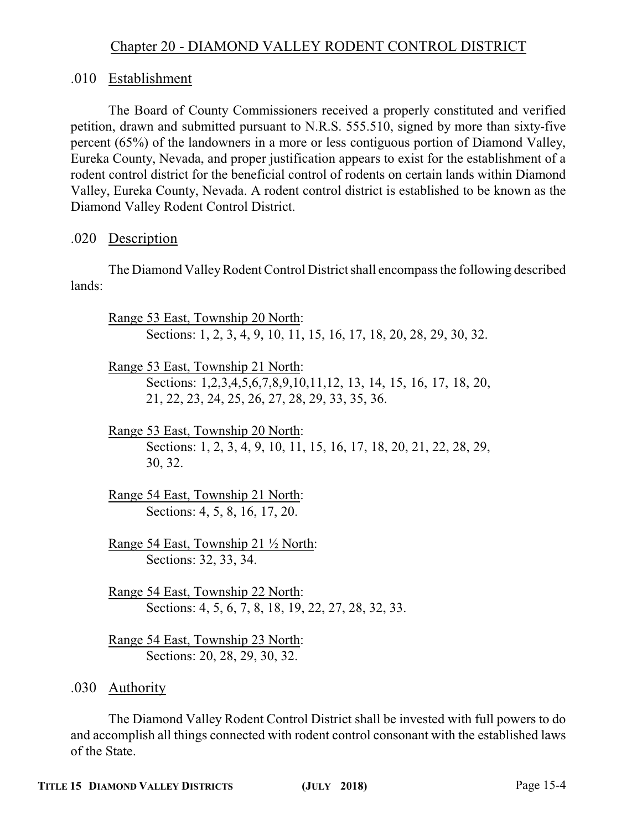# Chapter 20 - DIAMOND VALLEY RODENT CONTROL DISTRICT

## .010 Establishment

The Board of County Commissioners received a properly constituted and verified petition, drawn and submitted pursuant to N.R.S. 555.510, signed by more than sixty-five percent (65%) of the landowners in a more or less contiguous portion of Diamond Valley, Eureka County, Nevada, and proper justification appears to exist for the establishment of a rodent control district for the beneficial control of rodents on certain lands within Diamond Valley, Eureka County, Nevada. A rodent control district is established to be known as the Diamond Valley Rodent Control District.

### .020 Description

The Diamond Valley Rodent Control District shall encompass the following described lands:

Range 53 East, Township 20 North: Sections: 1, 2, 3, 4, 9, 10, 11, 15, 16, 17, 18, 20, 28, 29, 30, 32.

Range 53 East, Township 21 North: Sections: 1,2,3,4,5,6,7,8,9,10,11,12, 13, 14, 15, 16, 17, 18, 20, 21, 22, 23, 24, 25, 26, 27, 28, 29, 33, 35, 36.

Range 53 East, Township 20 North: Sections: 1, 2, 3, 4, 9, 10, 11, 15, 16, 17, 18, 20, 21, 22, 28, 29, 30, 32.

Range 54 East, Township 21 North: Sections: 4, 5, 8, 16, 17, 20.

Range 54 East, Township 21 ½ North: Sections: 32, 33, 34.

Range 54 East, Township 22 North: Sections: 4, 5, 6, 7, 8, 18, 19, 22, 27, 28, 32, 33.

Range 54 East, Township 23 North: Sections: 20, 28, 29, 30, 32.

.030 Authority

The Diamond Valley Rodent Control District shall be invested with full powers to do and accomplish all things connected with rodent control consonant with the established laws of the State.